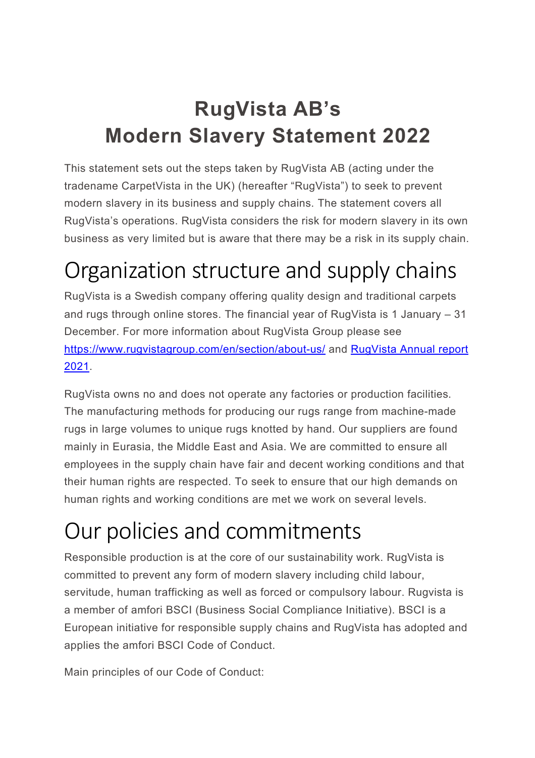## **RugVista AB's Modern Slavery Statement 2022**

This statement sets out the steps taken by RugVista AB (acting under the tradename CarpetVista in the UK) (hereafter "RugVista") to seek to prevent modern slavery in its business and supply chains. The statement covers all RugVista's operations. RugVista considers the risk for modern slavery in its own business as very limited but is aware that there may be a risk in its supply chain.

## Organization structure and supply chains

RugVista is a Swedish company offering quality design and traditional carpets and rugs through online stores. The financial year of RugVista is 1 January – 31 December. For more information about RugVista Group please see https://www.rugvistagroup.com/en/section/about-us/ and RugVista Annual report 2021.

RugVista owns no and does not operate any factories or production facilities. The manufacturing methods for producing our rugs range from machine-made rugs in large volumes to unique rugs knotted by hand. Our suppliers are found mainly in Eurasia, the Middle East and Asia. We are committed to ensure all employees in the supply chain have fair and decent working conditions and that their human rights are respected. To seek to ensure that our high demands on human rights and working conditions are met we work on several levels.

## Our policies and commitments

Responsible production is at the core of our sustainability work. RugVista is committed to prevent any form of modern slavery including child labour, servitude, human trafficking as well as forced or compulsory labour. Rugvista is a member of amfori BSCI (Business Social Compliance Initiative). BSCI is a European initiative for responsible supply chains and RugVista has adopted and applies the amfori BSCI Code of Conduct.

Main principles of our Code of Conduct: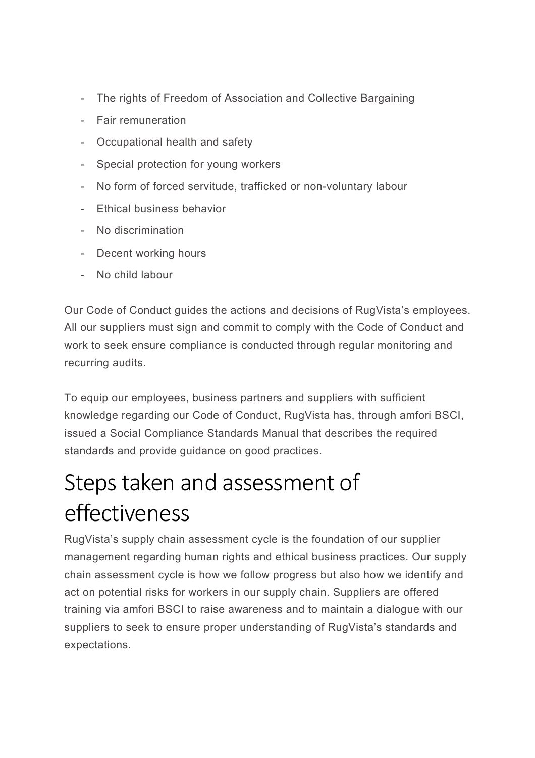- The rights of Freedom of Association and Collective Bargaining
- Fair remuneration
- Occupational health and safety
- Special protection for young workers
- No form of forced servitude, trafficked or non-voluntary labour
- Ethical business behavior
- No discrimination
- Decent working hours
- No child labour

Our Code of Conduct guides the actions and decisions of RugVista's employees. All our suppliers must sign and commit to comply with the Code of Conduct and work to seek ensure compliance is conducted through regular monitoring and recurring audits.

To equip our employees, business partners and suppliers with sufficient knowledge regarding our Code of Conduct, RugVista has, through amfori BSCI, issued a Social Compliance Standards Manual that describes the required standards and provide guidance on good practices.

## Steps taken and assessment of effectiveness

RugVista's supply chain assessment cycle is the foundation of our supplier management regarding human rights and ethical business practices. Our supply chain assessment cycle is how we follow progress but also how we identify and act on potential risks for workers in our supply chain. Suppliers are offered training via amfori BSCI to raise awareness and to maintain a dialogue with our suppliers to seek to ensure proper understanding of RugVista's standards and expectations.